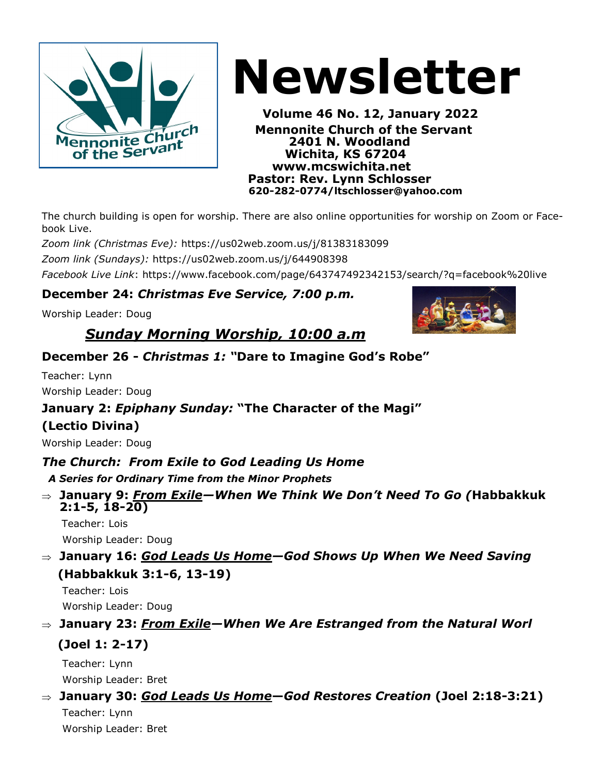

# **Newsletter**

 **Volume 46 No. 12, January 2022 Example 2401 Nennonite Church of the Servant**<br>
of the Servant<br>
of the Servant  **2401 N. Woodland Wichita, KS 67204 www.mcswichita.net Pastor: Rev. Lynn Schlosser 620-282-0774/ltschlosser@yahoo.com**

The church building is open for worship. There are also online opportunities for worship on Zoom or Facebook Live.

*Zoom link (Christmas Eve):* https://us02web.zoom.us/j/81383183099

*Zoom link (Sundays):* https://us02web.zoom.us/j/644908398

*Facebook Live Link*: https://www.facebook.com/page/643747492342153/search/?q=facebook%20live

#### **December 24:** *Christmas Eve Service, 7:00 p.m.*

Worship Leader: Doug

### *Sunday Morning Worship, 10:00 a.m*

#### **December 26 -** *Christmas 1: "***Dare to Imagine God's Robe"**

Teacher: Lynn Worship Leader: Doug

#### **January 2:** *Epiphany Sunday:* **"The Character of the Magi"**

#### **(Lectio Divina)**

Worship Leader: Doug

#### *The Church: From Exile to God Leading Us Home*

 *A Series for Ordinary Time from the Minor Prophets*

 **January 9:** *From Exile—When We Think We Don't Need To Go (***Habbakkuk 2:1-5, 18-20)**

Teacher: Lois Worship Leader: Doug

 **January 16:** *God Leads Us Home—God Shows Up When We Need Saving*  **(Habbakkuk 3:1-6, 13-19)**

 Teacher: Lois Worship Leader: Doug

#### **January 23:** *From Exile—When We Are Estranged from the Natural Worl*

#### **(Joel 1: 2-17)**

 Teacher: Lynn Worship Leader: Bret

#### **January 30:** *God Leads Us Home***—***God Restores Creation* **(Joel 2:18-3:21)**

 Teacher: Lynn Worship Leader: Bret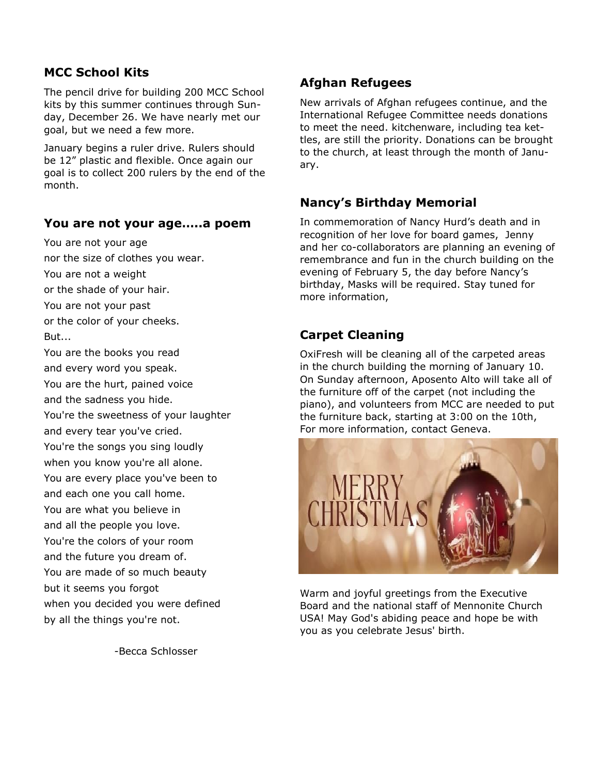#### **MCC School Kits**

The pencil drive for building 200 MCC School kits by this summer continues through Sunday, December 26. We have nearly met our goal, but we need a few more.

January begins a ruler drive. Rulers should be 12" plastic and flexible. Once again our goal is to collect 200 rulers by the end of the month.

#### **You are not your age…..a poem**

You are not your age nor the size of clothes you wear. You are not a weight or the shade of your hair. You are not your past or the color of your cheeks. But... You are the books you read

and every word you speak. You are the hurt, pained voice and the sadness you hide.

You're the sweetness of your laughter and every tear you've cried.

You're the songs you sing loudly when you know you're all alone. You are every place you've been to and each one you call home. You are what you believe in and all the people you love. You're the colors of your room and the future you dream of. You are made of so much beauty but it seems you forgot when you decided you were defined by all the things you're not.

-Becca Schlosser

#### **Afghan Refugees**

New arrivals of Afghan refugees continue, and the International Refugee Committee needs donations to meet the need. kitchenware, including tea kettles, are still the priority. Donations can be brought to the church, at least through the month of January.

#### **Nancy's Birthday Memorial**

In commemoration of Nancy Hurd's death and in recognition of her love for board games, Jenny and her co-collaborators are planning an evening of remembrance and fun in the church building on the evening of February 5, the day before Nancy's birthday, Masks will be required. Stay tuned for more information,

#### **Carpet Cleaning**

OxiFresh will be cleaning all of the carpeted areas in the church building the morning of January 10. On Sunday afternoon, Aposento Alto will take all of the furniture off of the carpet (not including the piano), and volunteers from MCC are needed to put the furniture back, starting at 3:00 on the 10th, For more information, contact Geneva.



Warm and joyful greetings from the Executive Board and the national staff of Mennonite Church USA! May God's abiding peace and hope be with you as you celebrate Jesus' birth.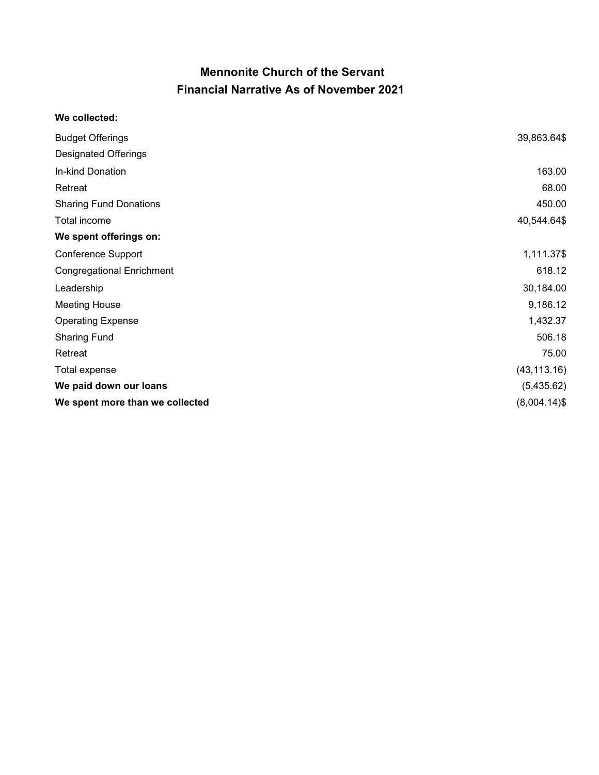#### **Mennonite Church of the Servant Financial Narrative As of November 2021**

#### **We collected:**

| <b>Budget Offerings</b>          | 39,863.64\$     |
|----------------------------------|-----------------|
| <b>Designated Offerings</b>      |                 |
| In-kind Donation                 | 163.00          |
| Retreat                          | 68.00           |
| <b>Sharing Fund Donations</b>    | 450.00          |
| Total income                     | 40,544.64\$     |
| We spent offerings on:           |                 |
| Conference Support               | 1,111.37\$      |
| <b>Congregational Enrichment</b> | 618.12          |
| Leadership                       | 30,184.00       |
| <b>Meeting House</b>             | 9,186.12        |
| <b>Operating Expense</b>         | 1,432.37        |
| <b>Sharing Fund</b>              | 506.18          |
| Retreat                          | 75.00           |
| Total expense                    | (43, 113.16)    |
| We paid down our loans           | (5,435.62)      |
| We spent more than we collected  | $(8,004.14)$ \$ |